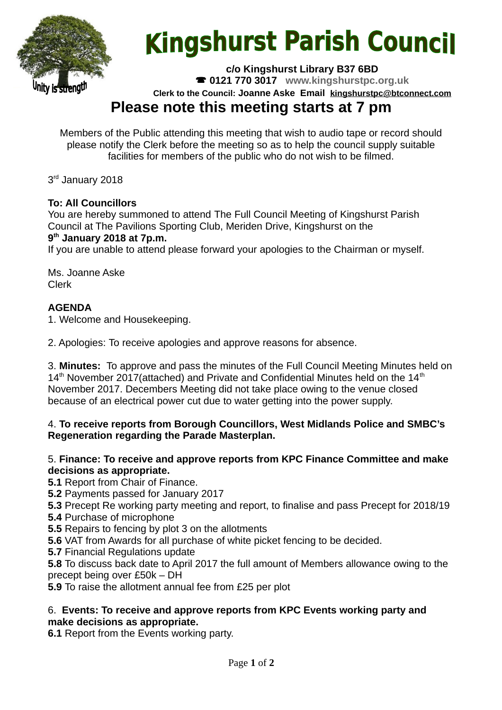

# **Kingshurst Parish Council**

**c/o Kingshurst Library B37 6BD**

**0121 770 3017 www.kingshurstpc.org.uk**

**Clerk to the Council: Joanne Aske Email [kingshurstpc@btconnect.com](mailto:kingshurstpc@btconnect.com)**

# **Please note this meeting starts at 7 pm**

Members of the Public attending this meeting that wish to audio tape or record should please notify the Clerk before the meeting so as to help the council supply suitable facilities for members of the public who do not wish to be filmed.

3<sup>rd</sup> January 2018

# **To: All Councillors**

You are hereby summoned to attend The Full Council Meeting of Kingshurst Parish Council at The Pavilions Sporting Club, Meriden Drive, Kingshurst on the **9 th January 2018 at 7p.m.**

If you are unable to attend please forward your apologies to the Chairman or myself.

Ms. Joanne Aske Clerk

# **AGENDA**

1. Welcome and Housekeeping.

2. Apologies: To receive apologies and approve reasons for absence.

3. **Minutes:** To approve and pass the minutes of the Full Council Meeting Minutes held on  $14<sup>th</sup>$  November 2017(attached) and Private and Confidential Minutes held on the  $14<sup>th</sup>$ November 2017. Decembers Meeting did not take place owing to the venue closed because of an electrical power cut due to water getting into the power supply.

#### 4. **To receive reports from Borough Councillors, West Midlands Police and SMBC's Regeneration regarding the Parade Masterplan.**

#### 5. **Finance: To receive and approve reports from KPC Finance Committee and make decisions as appropriate.**

**5.1** Report from Chair of Finance.

**5.2** Payments passed for January 2017

**5.3** Precept Re working party meeting and report, to finalise and pass Precept for 2018/19

**5.4** Purchase of microphone

**5.5** Repairs to fencing by plot 3 on the allotments

**5.6** VAT from Awards for all purchase of white picket fencing to be decided.

**5.7** Financial Regulations update

**5.8** To discuss back date to April 2017 the full amount of Members allowance owing to the precept being over £50k – DH

**5.9** To raise the allotment annual fee from £25 per plot

#### 6. **Events: To receive and approve reports from KPC Events working party and make decisions as appropriate.**

**6.1** Report from the Events working party.